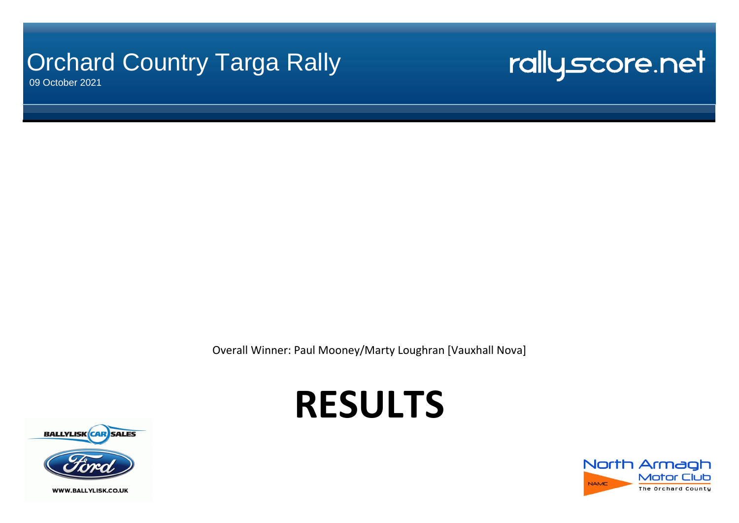## **Orchard Country Targa Rally**

09 October 2021

# rallyscore.net

Overall Winner: Paul Mooney/Marty Loughran [Vauxhall Nova]

# **RESULTS**





**WWW.BALLYLISK.CO.UK**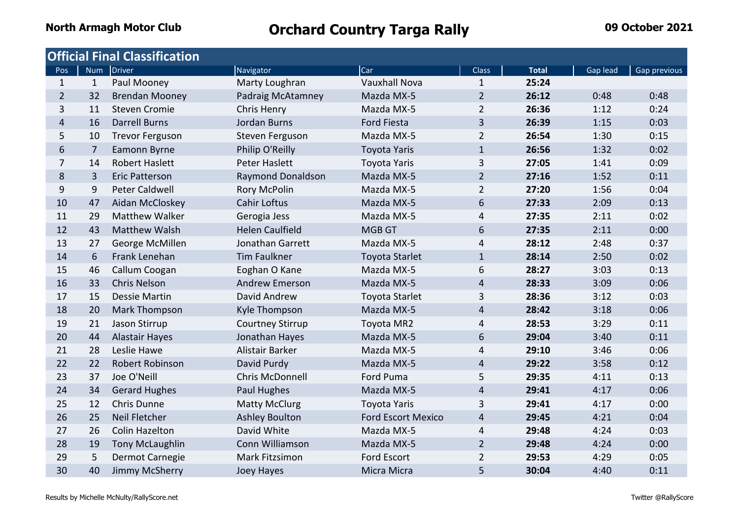|                |                | <b>Official Final Classification</b> |                        |                           |                |              |          |              |
|----------------|----------------|--------------------------------------|------------------------|---------------------------|----------------|--------------|----------|--------------|
| Pos            |                | Num Driver                           | Navigator              | Car                       | <b>Class</b>   | <b>Total</b> | Gap lead | Gap previous |
| $\mathbf{1}$   | $\mathbf{1}$   | Paul Mooney                          | Marty Loughran         | <b>Vauxhall Nova</b>      | $\mathbf{1}$   | 25:24        |          |              |
| $\overline{2}$ | 32             | <b>Brendan Mooney</b>                | Padraig McAtamney      | Mazda MX-5                | $\overline{2}$ | 26:12        | 0:48     | 0:48         |
| 3              | 11             | <b>Steven Cromie</b>                 | Chris Henry            | Mazda MX-5                | $\overline{2}$ | 26:36        | 1:12     | 0:24         |
| $\overline{4}$ | 16             | <b>Darrell Burns</b>                 | Jordan Burns           | <b>Ford Fiesta</b>        | 3              | 26:39        | 1:15     | 0:03         |
| 5              | 10             | <b>Trevor Ferguson</b>               | Steven Ferguson        | Mazda MX-5                | $\overline{2}$ | 26:54        | 1:30     | 0:15         |
| 6              | $\overline{7}$ | Eamonn Byrne                         | Philip O'Reilly        | <b>Toyota Yaris</b>       | $\mathbf{1}$   | 26:56        | 1:32     | 0:02         |
| $\overline{7}$ | 14             | <b>Robert Haslett</b>                | Peter Haslett          | <b>Toyota Yaris</b>       | 3              | 27:05        | 1:41     | 0:09         |
| 8              | 3              | <b>Eric Patterson</b>                | Raymond Donaldson      | Mazda MX-5                | $\overline{2}$ | 27:16        | 1:52     | 0:11         |
| 9              | 9              | Peter Caldwell                       | <b>Rory McPolin</b>    | Mazda MX-5                | $\overline{2}$ | 27:20        | 1:56     | 0:04         |
| 10             | 47             | Aidan McCloskey                      | <b>Cahir Loftus</b>    | Mazda MX-5                | 6              | 27:33        | 2:09     | 0:13         |
| 11             | 29             | <b>Matthew Walker</b>                | Gerogia Jess           | Mazda MX-5                | 4              | 27:35        | 2:11     | 0:02         |
| 12             | 43             | <b>Matthew Walsh</b>                 | <b>Helen Caulfield</b> | <b>MGB GT</b>             | 6              | 27:35        | 2:11     | 0:00         |
| 13             | 27             | George McMillen                      | Jonathan Garrett       | Mazda MX-5                | 4              | 28:12        | 2:48     | 0:37         |
| 14             | 6              | Frank Lenehan                        | <b>Tim Faulkner</b>    | <b>Toyota Starlet</b>     | $\mathbf{1}$   | 28:14        | 2:50     | 0:02         |
| 15             | 46             | Callum Coogan                        | Eoghan O Kane          | Mazda MX-5                | 6              | 28:27        | 3:03     | 0:13         |
| 16             | 33             | <b>Chris Nelson</b>                  | <b>Andrew Emerson</b>  | Mazda MX-5                | $\overline{4}$ | 28:33        | 3:09     | 0:06         |
| 17             | 15             | <b>Dessie Martin</b>                 | David Andrew           | <b>Toyota Starlet</b>     | 3              | 28:36        | 3:12     | 0:03         |
| 18             | 20             | Mark Thompson                        | Kyle Thompson          | Mazda MX-5                | $\overline{4}$ | 28:42        | 3:18     | 0:06         |
| 19             | 21             | Jason Stirrup                        | Courtney Stirrup       | Toyota MR2                | 4              | 28:53        | 3:29     | 0:11         |
| 20             | 44             | Alastair Hayes                       | Jonathan Hayes         | Mazda MX-5                | 6              | 29:04        | 3:40     | 0:11         |
| 21             | 28             | Leslie Hawe                          | Alistair Barker        | Mazda MX-5                | 4              | 29:10        | 3:46     | 0:06         |
| 22             | 22             | Robert Robinson                      | David Purdy            | Mazda MX-5                | $\overline{4}$ | 29:22        | 3:58     | 0:12         |
| 23             | 37             | Joe O'Neill                          | <b>Chris McDonnell</b> | Ford Puma                 | 5              | 29:35        | 4:11     | 0:13         |
| 24             | 34             | <b>Gerard Hughes</b>                 | Paul Hughes            | Mazda MX-5                | $\overline{4}$ | 29:41        | 4:17     | 0:06         |
| 25             | 12             | Chris Dunne                          | <b>Matty McClurg</b>   | <b>Toyota Yaris</b>       | 3              | 29:41        | 4:17     | 0:00         |
| 26             | 25             | Neil Fletcher                        | <b>Ashley Boulton</b>  | <b>Ford Escort Mexico</b> | 4              | 29:45        | 4:21     | 0:04         |
| 27             | 26             | <b>Colin Hazelton</b>                | David White            | Mazda MX-5                | 4              | 29:48        | 4:24     | 0:03         |
| 28             | 19             | <b>Tony McLaughlin</b>               | Conn Williamson        | Mazda MX-5                | $\overline{2}$ | 29:48        | 4:24     | 0:00         |
| 29             | 5              | Dermot Carnegie                      | Mark Fitzsimon         | <b>Ford Escort</b>        | $\overline{2}$ | 29:53        | 4:29     | 0:05         |
| 30             | 40             | Jimmy McSherry                       | Joey Hayes             | Micra Micra               | 5              | 30:04        | 4:40     | 0:11         |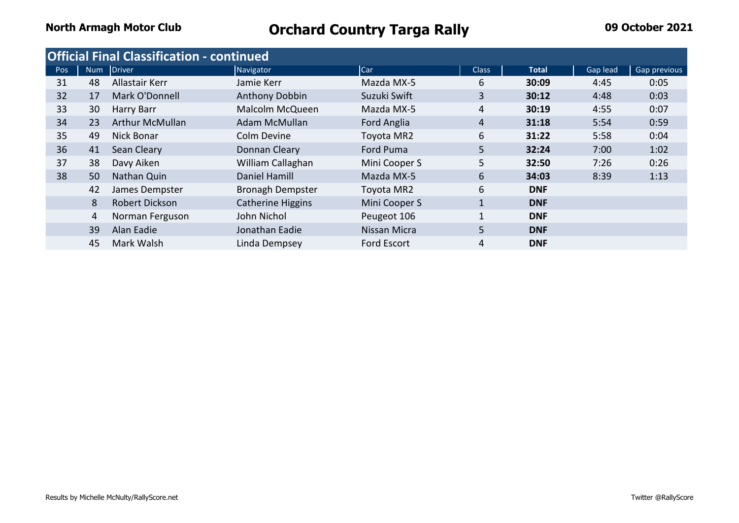|     |    | <b>Official Final Classification - continued</b> |                          |               |                |              |          |              |
|-----|----|--------------------------------------------------|--------------------------|---------------|----------------|--------------|----------|--------------|
| Pos |    | Num Driver                                       | Navigator                | Car           | <b>Class</b>   | <b>Total</b> | Gap lead | Gap previous |
| 31  | 48 | Allastair Kerr                                   | Jamie Kerr               | Mazda MX-5    | 6              | 30:09        | 4:45     | 0:05         |
| 32  | 17 | Mark O'Donnell                                   | Anthony Dobbin           | Suzuki Swift  | 3              | 30:12        | 4:48     | 0:03         |
| 33  | 30 | Harry Barr                                       | Malcolm McQueen          | Mazda MX-5    | 4              | 30:19        | 4:55     | 0:07         |
| 34  | 23 | <b>Arthur McMullan</b>                           | Adam McMullan            | Ford Anglia   | 4              | 31:18        | 5:54     | 0:59         |
| 35  | 49 | <b>Nick Bonar</b>                                | Colm Devine              | Toyota MR2    | 6              | 31:22        | 5:58     | 0:04         |
| 36  | 41 | Sean Cleary                                      | Donnan Cleary            | Ford Puma     | 5              | 32:24        | 7:00     | 1:02         |
| 37  | 38 | Davy Aiken                                       | William Callaghan        | Mini Cooper S | 5 <sup>1</sup> | 32:50        | 7:26     | 0:26         |
| 38  | 50 | Nathan Quin                                      | Daniel Hamill            | Mazda MX-5    | 6              | 34:03        | 8:39     | 1:13         |
|     | 42 | James Dempster                                   | <b>Bronagh Dempster</b>  | Toyota MR2    | 6              | <b>DNF</b>   |          |              |
|     | 8  | Robert Dickson                                   | <b>Catherine Higgins</b> | Mini Cooper S | $\mathbf{1}$   | <b>DNF</b>   |          |              |
|     | 4  | Norman Ferguson                                  | John Nichol              | Peugeot 106   | 1              | <b>DNF</b>   |          |              |
|     | 39 | Alan Eadie                                       | Jonathan Eadie           | Nissan Micra  | 5              | <b>DNF</b>   |          |              |
|     | 45 | Mark Walsh                                       | Linda Dempsey            | Ford Escort   | 4              | <b>DNF</b>   |          |              |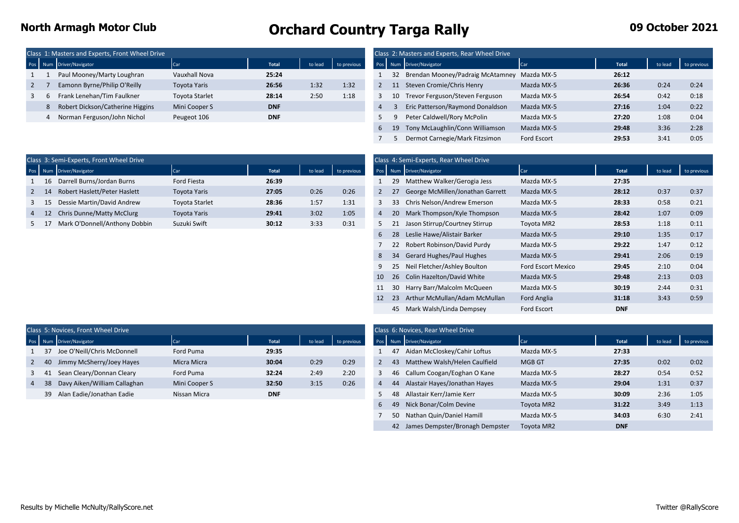### **North Armagh Motor Club Cancel Armagh Motor Club Orchard Country Targa Rally 19 October 2021**

|  | Class 1: Masters and Experts, Front Wheel Drive |                       |              |         |      |  | Class 2: Masters and Experts, Rear Wheel Drive |                |              |      |      |
|--|-------------------------------------------------|-----------------------|--------------|---------|------|--|------------------------------------------------|----------------|--------------|------|------|
|  | Pos Num Driver/Navigator                        | Car                   | <b>Total</b> | to lead |      |  | Pos Num Driver/Navigator                       | Car            | <b>Total</b> |      |      |
|  | Paul Mooney/Marty Loughran                      | Vauxhall Nova         | 25:24        |         |      |  | Brendan Mooney/Padraig McAtamney               | Mazda MX-5     | 26:12        |      |      |
|  | Eamonn Byrne/Philip O'Reilly                    | Toyota Yaris          | 26:56        | 1:32    | 1:32 |  | Steven Cromie/Chris Henry                      | Mazda MX-5     | 26:36        | 0:24 | 0:24 |
|  | Frank Lenehan/Tim Faulkner                      | <b>Toyota Starlet</b> | 28:14        | 2:50    | 1:18 |  | 10 Trevor Ferguson/Steven Ferguson             | Mazda MX-5     | 26:54        | 0:42 | 0:18 |
|  | Robert Dickson/Catherine Higgins                | Mini Cooper S         | <b>DNF</b>   |         |      |  | Eric Patterson/Raymond Donaldson               | Mazda MX-5     | 27:16        | 1:04 | 0:22 |
|  | Norman Ferguson/John Nichol                     | Peugeot 106           | <b>DNF</b>   |         |      |  | Peter Caldwell/Rory McPolin                    | Mazda MX-5     | 27:20        | 1:08 | 0:04 |
|  |                                                 |                       |              |         |      |  | $10.$ Text Malerially $C_{2.2}$ Milliances     | $A = -1 - A M$ | 20.40        | 2.2c | 2.20 |

| : Masters and Experts, Front Wheel Drive |                     |              |         |             |                |    | Class 2: Masters and Experts, Rear Wheel Drive |                    |       |         |             |
|------------------------------------------|---------------------|--------------|---------|-------------|----------------|----|------------------------------------------------|--------------------|-------|---------|-------------|
| um Driver/Navigator                      | Car                 | <b>Total</b> | to lead | to previous |                |    | Pos Num Driver/Navigator                       | Car                | Total | to lead | to previous |
| Paul Mooney/Marty Loughran               | Vauxhall Nova       | 25:24        |         |             |                |    | 32 Brendan Mooney/Padraig McAtamney Mazda MX-5 |                    | 26:12 |         |             |
| Eamonn Byrne/Philip O'Reilly             | <b>Toyota Yaris</b> | 26:56        | 1:32    | 1:32        |                |    | Steven Cromie/Chris Henry                      | Mazda MX-5         | 26:36 | 0:24    | 0:24        |
| Frank Lenehan/Tim Faulkner               | Toyota Starlet      | 28:14        | 2:50    | 1:18        | 3              | 10 | Trevor Ferguson/Steven Ferguson                | Mazda MX-5         | 26:54 | 0:42    | 0:18        |
| Robert Dickson/Catherine Higgins         | Mini Cooper S       | <b>DNF</b>   |         |             | $\overline{4}$ |    | Eric Patterson/Raymond Donaldson               | Mazda MX-5         | 27:16 | 1:04    | 0:22        |
| Norman Ferguson/John Nichol              | Peugeot 106         | <b>DNF</b>   |         |             |                |    | Peter Caldwell/Rory McPolin                    | Mazda MX-5         | 27:20 | 1:08    | 0:04        |
|                                          |                     |              |         |             | 6              | 19 | Tony McLaughlin/Conn Williamson                | Mazda MX-5         | 29:48 | 3:36    | 2:28        |
|                                          |                     |              |         |             |                |    | Dermot Carnegie/Mark Fitzsimon                 | <b>Ford Escort</b> | 29:53 | 3:41    | 0:05        |

|          | Class 3: Semi-Experts, Front Wheel Drive |                       |       |         |             |     | Class 4: Semi-Experts, Rear Wheel Drive |            |       |         |             |
|----------|------------------------------------------|-----------------------|-------|---------|-------------|-----|-----------------------------------------|------------|-------|---------|-------------|
|          | Pos Num Driver/Navigator                 |                       | Total | to lead | to previous |     | Pos Num Driver/Navigator                | Car        | Total | to lead | to previous |
| 1 16     | Darrell Burns/Jordan Burns               | Ford Fiesta           | 26:39 |         |             |     | Matthew Walker/Gerogia Jess             | Mazda MX-5 | 27:35 |         |             |
| $2 \t14$ | Robert Haslett/Peter Haslett             | <b>Toyota Yaris</b>   | 27:05 | 0:26    | 0:26        |     | George McMillen/Jonathan Garrett        | Mazda MX-5 | 28:12 | 0:37    | 0:37        |
| $3 \t15$ | Dessie Martin/David Andrew               | <b>Toyota Starlet</b> | 28:36 | 1:57    | 1:31        | 33. | Chris Nelson/Andrew Emerson             | Mazda MX-5 | 28:33 | 0:58    | 0:21        |
| 4 12     | Chris Dunne/Matty McClurg                | <b>Toyota Yaris</b>   | 29:41 | 3:02    | 1:05        |     | Mark Thompson/Kyle Thompson             | Mazda MX-5 | 28:42 | 1:07    | 0:09        |
|          | Mark O'Donnell/Anthony Dobbin            | Suzuki Swift          | 30:12 | 3:33    | 0:31        |     | Jason Stirrup/Courtney Stirrup          | Toyota MR2 | 28:53 | 1:18    | 0:11        |

|    | lass 3: Semi-Experts, Front Wheel Drive |                     |              |         |             |                                           |     | Class 4: Semi-Experts, Rear Wheel Drive |                    |            |         |             |
|----|-----------------------------------------|---------------------|--------------|---------|-------------|-------------------------------------------|-----|-----------------------------------------|--------------------|------------|---------|-------------|
|    | Num Driver/Navigator                    | <b>Car</b>          | <b>Total</b> | to lead | to previous |                                           |     | Pos Num Driver/Navigator                | Car                | Total      | to lead | to previous |
| 16 | Darrell Burns/Jordan Burns              | Ford Fiesta         | 26:39        |         |             |                                           | 29  | Matthew Walker/Gerogia Jess             | Mazda MX-5         | 27:35      |         |             |
| 14 | Robert Haslett/Peter Haslett            | <b>Toyota Yaris</b> | 27:05        | 0:26    | 0:26        | $2^{\circ}$                               | 27  | George McMillen/Jonathan Garrett        | Mazda MX-5         | 28:12      | 0:37    | 0:37        |
| 15 | Dessie Martin/David Andrew              | Toyota Starlet      | 28:36        | 1:57    | 1:31        | 3                                         | 33  | Chris Nelson/Andrew Emerson             | Mazda MX-5         | 28:33      | 0:58    | 0:21        |
| 12 | Chris Dunne/Matty McClurg               | <b>Toyota Yaris</b> | 29:41        | 3:02    | 1:05        | $\overline{4}$                            |     | 20 Mark Thompson/Kyle Thompson          | Mazda MX-5         | 28:42      | 1:07    | 0:09        |
| 17 | Mark O'Donnell/Anthony Dobbin           | Suzuki Swift        | 30:12        | 3:33    | 0:31        | 5.                                        | 21  | Jason Stirrup/Courtney Stirrup          | Toyota MR2         | 28:53      | 1:18    | 0:11        |
|    |                                         |                     |              |         |             | 6                                         | -28 | Leslie Hawe/Alistair Barker             | Mazda MX-5         | 29:10      | 1:35    | 0:17        |
|    |                                         |                     |              |         |             |                                           |     | 22 Robert Robinson/David Purdy          | Mazda MX-5         | 29:22      | 1:47    | 0:12        |
|    |                                         |                     |              |         |             | 8                                         | 34  | <b>Gerard Hughes/Paul Hughes</b>        | Mazda MX-5         | 29:41      | 2:06    | 0:19        |
|    |                                         |                     |              |         |             | 9                                         | 25  | Neil Fletcher/Ashley Boulton            | Ford Escort Mexico | 29:45      | 2:10    | 0:04        |
|    |                                         |                     |              |         |             | 10                                        |     | 26 Colin Hazelton/David White           | Mazda MX-5         | 29:48      | 2:13    | 0:03        |
|    |                                         |                     |              |         |             | 11                                        | 30  | Harry Barr/Malcolm McQueen              | Mazda MX-5         | 30:19      | 2:44    | 0:31        |
|    |                                         |                     |              |         |             | Arthur McMullan/Adam McMullan<br>12<br>23 |     |                                         | <b>Ford Anglia</b> | 31:18      | 3:43    | 0:59        |
|    |                                         |                     |              |         |             |                                           |     | 45 Mark Walsh/Linda Dempsey             | Ford Escort        | <b>DNF</b> |         |             |

|                |              | Class 5: Novices, Front Wheel Drive |               |              |         |             |   |    | Class 6: Novices, Rear Wheel Drive |               |       |         |             |
|----------------|--------------|-------------------------------------|---------------|--------------|---------|-------------|---|----|------------------------------------|---------------|-------|---------|-------------|
|                |              | Pos Num Driver/Navigator            | Car           | <b>Total</b> | to lead | to previous |   |    | Pos Num Driver/Navigator           | Car           | Total | to lead | to previous |
|                | 1 37         | Joe O'Neill/Chris McDonnell         | Ford Puma     | 29:35        |         |             |   |    | Aidan McCloskey/Cahir Loftus       | Mazda MX-5    | 27:33 |         |             |
|                | $2 \quad 40$ | Jimmy McSherry/Joey Hayes           | Micra Micra   | 30:04        | 0:29    | 0:29        |   | 43 | Matthew Walsh/Helen Caulfield      | <b>MGB GT</b> | 27:35 | 0:02    | 0:02        |
|                | 3 41         | Sean Cleary/Donnan Cleary           | Ford Puma     | 32:24        | 2:49    | 2:20        |   |    | Callum Coogan/Eoghan O Kane        | Mazda MX-5    | 28:27 | 0:54    | 0:52        |
| 4 <sup>7</sup> | -38          | Davy Aiken/William Callaghan        | Mini Cooper S | 32:50        | 3:15    | 0:26        | 4 |    | Alastair Hayes/Jonathan Hayes      | Mazda MX-5    | 29:04 | 1:31    | 0:37        |
|                |              | 39 Alan Eadie/Jonathan Eadie        | Nissan Micra  | <b>DNF</b>   |         |             |   |    | Allastair Kerr/Jamie Kerr          | Mazda MX-5    | 30:09 | 2:36    | 1:05        |

| 5: Novices, Front Wheel Drive   |               |              |         |             |   |    | Class 6: Novices, Rear Wheel Drive |               |              |         |             |
|---------------------------------|---------------|--------------|---------|-------------|---|----|------------------------------------|---------------|--------------|---------|-------------|
| <b>Jum</b> Driver/Navigator     | Car           | <b>Total</b> | to lead | to previous |   |    | Pos Num Driver/Navigator           | Car           | <b>Total</b> | to lead | to previous |
| 37 Joe O'Neill/Chris McDonnell  | Ford Puma     | 29:35        |         |             |   | 47 | Aidan McCloskey/Cahir Loftus       | Mazda MX-5    | 27:33        |         |             |
| 40 Jimmy McSherry/Joey Hayes    | Micra Micra   | 30:04        | 0:29    | 0:29        |   | 43 | Matthew Walsh/Helen Caulfield      | <b>MGB GT</b> | 27:35        | 0:02    | 0:02        |
| 41 Sean Cleary/Donnan Cleary    | Ford Puma     | 32:24        | 2:49    | 2:20        | 3 | 46 | Callum Coogan/Eoghan O Kane        | Mazda MX-5    | 28:27        | 0:54    | 0:52        |
| 38 Davy Aiken/William Callaghan | Mini Cooper S | 32:50        | 3:15    | 0:26        | 4 | 44 | Alastair Hayes/Jonathan Hayes      | Mazda MX-5    | 29:04        | 1:31    | 0:37        |
| 39 Alan Eadie/Jonathan Eadie    | Nissan Micra  | <b>DNF</b>   |         |             |   | 48 | Allastair Kerr/Jamie Kerr          | Mazda MX-5    | 30:09        | 2:36    | 1:05        |
|                                 |               |              |         |             | 6 | 49 | Nick Bonar/Colm Devine             | Toyota MR2    | 31:22        | 3:49    | 1:13        |
|                                 |               |              |         |             |   | 50 | Nathan Quin/Daniel Hamill          | Mazda MX-5    | 34:03        | 6:30    | 2:41        |
|                                 |               |              |         |             |   | 42 | James Dempster/Bronagh Dempster    | Toyota MR2    | <b>DNF</b>   |         |             |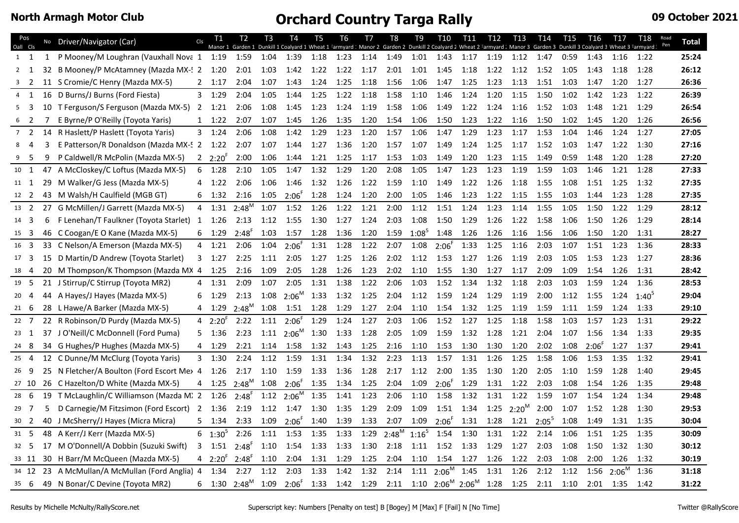|    | Pos<br>Oall Cls |    | No Driver/Navigator (Car)                      | Cls            | T1               | T2<br>Manor 1 Garden 1          | T <sub>3</sub> | T4                       | T5        | T6             | T7   | T8<br>Dunkill 1 Coalyard 1 Wheat 1 Farmyard : Manor 2 Garden 2 Dunkill 2 Coalyard 2 Wheat 2 Farmyard : Manor 3 Garden 3 Dunkill 3 Coalyard 3 Wheat 3 Farmyard : Pen | T9       | T10                                    | T11  | T12  | T13      | T <sub>14</sub> | T <sub>15</sub> | T16        | T17      | T18        | Road | <b>Total</b> |
|----|-----------------|----|------------------------------------------------|----------------|------------------|---------------------------------|----------------|--------------------------|-----------|----------------|------|---------------------------------------------------------------------------------------------------------------------------------------------------------------------|----------|----------------------------------------|------|------|----------|-----------------|-----------------|------------|----------|------------|------|--------------|
|    | 1 1             | 1  | P Mooney/M Loughran (Vauxhall Nova 1 1:19 1:59 |                |                  |                                 | 1:04           | 1:39                     | 1:18      | 1:23           | 1:14 | 1:49                                                                                                                                                                | 1:01     | 1:43                                   | 1:17 | 1:19 | 1:12     | 1:47            | 0:59            | 1:43       | 1:16     | 1:22       |      | 25:24        |
|    | $2 \quad 1$     | 32 | B Mooney/P McAtamney (Mazda MX-! 2 1:20        |                |                  | 2:01                            | 1:03           | 1:42                     | 1:22      | 1:22           | 1:17 | 2:01                                                                                                                                                                | 1:01     | 1:45                                   | 1:18 | 1:22 | 1:12     | 1:52            | 1:05            | 1:43       | 1:18     | 1:28       |      | 26:12        |
|    | $\overline{2}$  |    | 11 S Cromie/C Henry (Mazda MX-5)               |                | $2 \quad 1:17$   | 2:04                            | 1:07           | 1:43                     | 1:24      | 1:25           | 1:18 | 1:56                                                                                                                                                                | 1:06     | 1:47                                   | 1:25 | 1:23 | 1:13     | 1:51            | 1:03            | 1:47       | 1:20     | 1:27       |      | 26:36        |
| 4  | 1               |    | 16 D Burns/J Burns (Ford Fiesta)               | 3              | 1:29             | 2:04                            | 1:05           | 1:44                     | 1:25      | 1:22           | 1:18 | 1:58                                                                                                                                                                | 1:10     | 1:46                                   | 1:24 | 1:20 | 1:15     | 1:50            | 1:02            | 1:42       | 1:23     | 1:22       |      | 26:39        |
| 5  | 3               | 10 | T Ferguson/S Ferguson (Mazda MX-5)             | $\overline{2}$ | 1:21             | 2:06                            | 1:08           | 1:45                     | 1:23      | 1:24           | 1:19 | 1:58                                                                                                                                                                | 1:06     | 1:49                                   | 1:22 | 1:24 | 1:16     | 1:52            | 1:03            | 1:48       | 1:21     | 1:29       |      | 26:54        |
| 6  |                 |    | E Byrne/P O'Reilly (Toyota Yaris)              |                | $1 \quad 1:22$   | 2:07                            | 1:07           | 1:45                     | 1:26      | 1:35           | 1:20 | 1:54                                                                                                                                                                | 1:06     | 1:50                                   | 1:23 | 1:22 | 1:16     | 1:50            | 1:02            | 1:45       | 1:20     | 1:26       |      | 26:56        |
|    | 7 <sub>2</sub>  |    | 14 R Haslett/P Haslett (Toyota Yaris)          |                | $3 \quad 1:24$   | 2:06                            | 1:08           | 1:42                     | 1:29      | 1:23           | 1:20 | 1:57                                                                                                                                                                | 1:06     | 1:47                                   | 1:29 | 1:23 | 1:17     | 1:53            | 1:04            | 1:46       | 1:24     | 1:27       |      | 27:05        |
| 8  | 4               | 3  | E Patterson/R Donaldson (Mazda MX-52           |                | 1:22             | 2:07                            | 1:07           | 1:44                     | 1:27      | 1:36           | 1:20 | 1:57                                                                                                                                                                | 1:07     | 1:49                                   | 1:24 | 1:25 | 1:17     | 1:52            | 1:03            | 1:47       | 1:22     | 1:30       |      | 27:16        |
|    | -5              | 9  | P Caldwell/R McPolin (Mazda MX-5)              | $\overline{2}$ | $2:20^{\degree}$ | 2:00                            | 1:06           | 1:44                     | 1:21      | 1:25           | 1:17 | 1:53                                                                                                                                                                | 1:03     | 1:49                                   | 1:20 | 1:23 | 1:15     | 1:49            | 0:59            | 1:48       | 1:20     | 1:28       |      | 27:20        |
|    | $10 \t 1$       |    | 47 A McCloskey/C Loftus (Mazda MX-5)           | 6              | 1:28             | 2:10                            | 1:05           | 1:47                     | 1:32      | 1:29           | 1:20 | 2:08                                                                                                                                                                | 1:05     | 1:47                                   | 1:23 | 1:23 | 1:19     | 1:59            | 1:03            | 1:46       | 1:21     | 1:28       |      | 27:33        |
|    | 11 1            |    | 29 M Walker/G Jess (Mazda MX-5)                | 4              | 1:22             | 2:06                            | 1:06           | 1:46                     | 1:32      | 1:26           | 1:22 | 1:59                                                                                                                                                                | 1:10     | 1:49                                   | 1:22 | 1:26 | 1:18     | 1:55            | 1:08            | 1:51       | 1:25     | 1:32       |      | 27:35        |
|    | 12 2            |    | 43 M Walsh/H Caulfield (MGB GT)                | 6              | 1:32             | 2:16                            | 1:05           | $2:06^{F}$               | 1:28      | 1:24           | 1:20 | 2:00                                                                                                                                                                | 1:05     | 1:46                                   | 1:23 | 1:22 | 1:15     | 1:55            | 1:03            | 1:44       | 1:23     | 1:28       |      | 27:35        |
|    | 13 2            | 27 | G McMillen/J Garrett (Mazda MX-5)              | $\overline{4}$ | 1:31             | $2:48^M$                        | 1:07           | 1:52                     | 1:26      | 1:22           | 1:21 | 2:00                                                                                                                                                                | 1:12     | 1:51                                   | 1:24 | 1:23 | 1:14     | 1:55            | 1:05            | 1:50       | 1:22     | 1:29       |      | 28:12        |
|    | 14 3            | 6  | F Lenehan/T Faulkner (Toyota Starlet) 1        |                | 1:26             | 2:13                            | 1:12           | 1:55                     | 1:30      | 1:27           | 1:24 | 2:03                                                                                                                                                                | 1:08     | 1:50                                   | 1:29 | 1:26 | 1:22     | 1:58            | 1:06            | 1:50       | 1:26     | 1:29       |      | 28:14        |
|    | $15 \quad 3$    | 46 | C Coogan/E O Kane (Mazda MX-5)                 | 6              | 1:29             | $2:48^{F}$                      | 1:03           | 1:57                     | 1:28      | 1:36           | 1:20 | 1:59                                                                                                                                                                | $1:08^5$ | 1:48                                   | 1:26 | 1:26 | 1:16     | 1:56            | 1:06            | 1:50       | 1:20     | 1:31       |      | 28:27        |
|    | 16 3            |    | 33 C Nelson/A Emerson (Mazda MX-5)             | 4              | 1:21             | 2:06                            | 1:04           | $2:06^{\degree}$         | 1:31 1:28 |                | 1:22 | 2:07                                                                                                                                                                | 1:08     | $2:06^{F}$                             | 1:33 | 1:25 | 1:16     | 2:03            | 1:07            | 1:51       | 1:23     | 1:36       |      | 28:33        |
|    | 17 <sup>3</sup> | 15 | D Martin/D Andrew (Toyota Starlet)             | 3              | 1:27             | 2:25                            | 1:11           | 2:05                     | 1:27      | 1:25           | 1:26 | 2:02                                                                                                                                                                | 1:12     | 1:53                                   | 1:27 | 1:26 | 1:19     | 2:03            | 1:05            | 1:53       | 1:23     | 1:27       |      | 28:36        |
| 18 | $\overline{4}$  | 20 | M Thompson/K Thompson (Mazda MX 4              |                | 1:25             | 2:16                            | 1:09           | 2:05                     | 1:28      | 1:26           | 1:23 | 2:02                                                                                                                                                                | 1:10     | 1:55                                   | 1:30 | 1:27 | 1:17     | 2:09            | 1:09            | 1:54       | 1:26     | 1:31       |      | 28:42        |
|    | 19 5            |    | 21 J Stirrup/C Stirrup (Toyota MR2)            | 4              | 1:31             | 2:09                            | 1:07           | 2:05                     | 1:31 1:38 |                | 1:22 | 2:06                                                                                                                                                                | 1:03     | 1:52                                   | 1:34 | 1:32 | 1:18     | 2:03            | 1:03            | 1:59       | 1:24     | 1:36       |      | 28:53        |
|    | $20 \t 4$       | 44 | A Hayes/J Hayes (Mazda MX-5)                   | 6              | 1:29             | 2:13                            |                | $1:08$ 2:06 <sup>M</sup> | 1:33      | 1:32           | 1:25 | 2:04                                                                                                                                                                | 1:12     | 1:59                                   | 1:24 | 1:29 | 1:19     | 2:00            | 1:12            | 1:55       | 1:24     | $1:40^{5}$ |      | 29:04        |
|    | $21 \quad 6$    | 28 | L Hawe/A Barker (Mazda MX-5)                   |                | 1:29             | $2:48^M$                        | 1:08           | 1:51 1:28                |           | 1:29           | 1:27 | 2:04                                                                                                                                                                | 1:10     | 1:54                                   | 1:32 | 1:25 | 1:19     | 1:59            | 1:11            | 1:59       | 1:24     | 1:33       |      | 29:10        |
|    | $22 \quad 7$    |    | 22 R Robinson/D Purdy (Mazda MX-5)             |                | $42:20^{1}$      | 2:22                            | 1:11           | $2:06^{F}$               | 1:29      | 1:24           | 1:27 | 2:03                                                                                                                                                                | 1:06     | 1:52                                   | 1:27 | 1:25 | 1:18     | 1:58            | 1:03            | 1:57       | 1:23     | 1:31       |      | 29:22        |
|    | $23 \quad 1$    |    | 37 J O'Neill/C McDonnell (Ford Puma)           | 5.             | 1:36             | 2:23                            | 1:11           | $2:06^M$                 | 1:30      | 1:33           | 1:28 | 2:05                                                                                                                                                                | 1:09     | 1:59                                   | 1:32 | 1:28 | 1:21     | 2:04            | 1:07            | 1:56       | 1:34     | 1:33       |      | 29:35        |
|    | 24 8            |    | 34 G Hughes/P Hughes (Mazda MX-5)              | 4              | 1:29             | 2:21                            | 1:14           | 1:58                     | 1:32      | 1:43           | 1:25 | 2:16                                                                                                                                                                | 1:10     | 1:53                                   | 1:30 | 1:30 | 1:20     | 2:02            | 1:08            | $2:06^{F}$ | 1:27     | 1:37       |      | 29:41        |
|    | $25 \quad 4$    |    | 12 C Dunne/M McClurg (Toyota Yaris)            | 3 <sup>7</sup> | 1:30             | 2:24                            | 1:12           | 1:59                     | 1:31 1:34 |                | 1:32 | 2:23                                                                                                                                                                | 1:13     | 1:57                                   | 1:31 | 1:26 | 1:25     | 1:58            | 1:06            | 1:53       | 1:35     | 1:32       |      | 29:41        |
|    | 26 9            |    | 25 N Fletcher/A Boulton (Ford Escort Me> 4     |                | 1:26             | 2:17                            | 1:10           | 1:59                     | 1:33 1:36 |                | 1:28 | 2:17                                                                                                                                                                | 1:12     | 2:00                                   | 1:35 | 1:30 | 1:20     | 2:05            | 1:10            | 1:59       | 1:28     | 1:40       |      | 29:45        |
|    | 27 10           |    | 26 C Hazelton/D White (Mazda MX-5)             | 4              | 1:25             | $2:48^M$                        | 1:08           | $2:06^F$                 | 1:35      | 1:34           | 1:25 | 2:04                                                                                                                                                                | 1:09     | $2:06^{F}$                             | 1:29 | 1:31 | 1:22     | 2:03            | 1:08            | 1:54       | 1:26     | 1:35       |      | 29:48        |
|    | $28 \quad 6$    | 19 | T McLaughlin/C Williamson (Mazda M. 2          |                | 1:26             | 2:48'                           | 1:12           | $2:06^M$                 | 1:35      | 1:41           | 1:23 | 2:06                                                                                                                                                                | 1:10     | 1:58                                   | 1:32 | 1:31 | 1:22     | 1:59            | 1:07            | 1:54       | 1:24     | 1:34       |      | 29:48        |
|    | 29 7            | 5  | D Carnegie/M Fitzsimon (Ford Escort) 2         |                | 1:36             | 2:19                            | 1:12           | 1:47                     | 1:30      | 1:35           | 1:29 | 2:09                                                                                                                                                                | 1:09     | 1:51                                   | 1:34 | 1:25 | $2:20^M$ | 2:00            | 1:07            | 1:52       | 1:28     | 1:30       |      | 29:53        |
|    | 30 <sup>2</sup> |    | 40 J McSherry/J Hayes (Micra Micra)            | 5              | 1:34             | 2:33                            | 1:09           | $2:06^{F}$               | 1:40      | 1:39           | 1:33 | 2:07                                                                                                                                                                | 1:09     | $2:06^{F}$                             | 1:31 | 1:28 | 1:21     | $2:05^{5}$      | 1:08            | 1:49       | 1:31     | 1:35       |      | 30:04        |
|    | $31 \quad 5$    | 48 | A Kerr/J Kerr (Mazda MX-5)                     | 6              | $1:30^{5}$       | 2:26                            | 1:11           | 1:53                     | 1:35      | 1:33           | 1:29 | $2:48^M$                                                                                                                                                            | $1:16^5$ | 1:54                                   | 1:30 | 1:31 | 1:22     | 2:14            | 1:06            | 1:51       | 1:25     | 1:35       |      | 30:09        |
|    | 32 <sub>5</sub> | 17 | M O'Donnell/A Dobbin (Suzuki Swift)            | 3              | 1:51             | $2:48^{F}$                      | 1:10           | 1:54                     | 1:33      | 1:33           | 1:30 | 2:18                                                                                                                                                                | 1:11     | 1:52                                   | 1:33 | 1:29 | 1:27     | 2:03            | 1:08            | 1:50       | 1:32     | 1:30       |      | 30:12        |
|    | 33 11           |    | 30 H Barr/M McQueen (Mazda MX-5)               | 4              | $2:20^{\circ}$   | $2:48^{F}$                      | 1:10           | 2:04                     | 1:31      | 1:29           | 1:25 | 2:04                                                                                                                                                                | 1:10     | 1:54                                   | 1:27 | 1:26 | 1:22     | 2:03            | 1:08            | 2:00       | 1:26     | 1:32       |      | 30:19        |
|    | 34 12           | 23 | A McMullan/A McMullan (Ford Anglia) 4          |                | 1:34             | 2:27                            | 1:12           | 2:03                     | 1:33      | 1:42           | 1:32 | 2:14                                                                                                                                                                | 1:11     | $2:06^M$                               | 1:45 | 1:31 | 1:26     | 2:12            | 1:12            | 1:56       | $2:06^M$ | 1:36       |      | 31:18        |
|    | $35 \quad 6$    |    | 49 N Bonar/C Devine (Toyota MR2)               | 6              |                  | $1:30$ $2:48^M$ $1:09$ $2:06^F$ |                |                          |           | 1:33 1:42 1:29 |      |                                                                                                                                                                     |          | $2:11$ $1:10$ $2:06^M$ $2:06^M$ $1:28$ |      |      | 1:25     | 2:11            | 1:10            | 2:01       | 1:35     | 1:42       |      | 31:22        |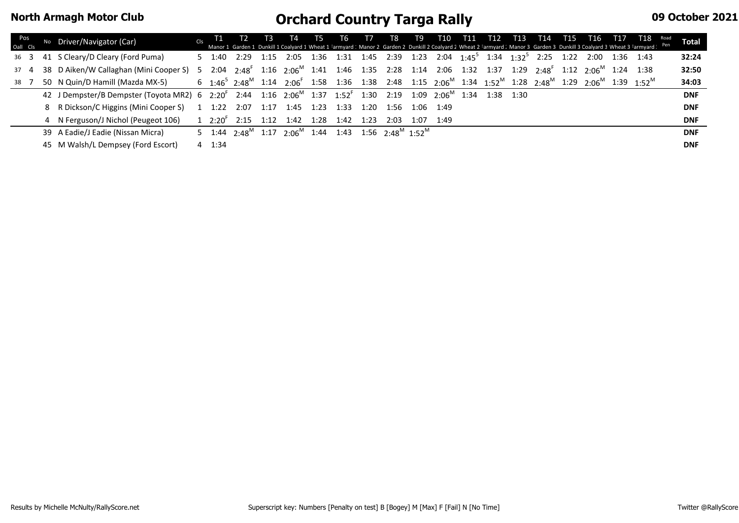| Pos<br>Oall Cls |              | Driver/Navigator (Car)                                                                                                                                       | Cls |        |                  |      |                                                                                                                                                                           |      |      |      |                |      |      |  |                                                                                       |      |           | T1 T2 T3 T4 T5 T6 T7 T8 T9 T10 T11 T12 T13 T14 T15 T16 T17 T18 Road | <b>Total</b> |
|-----------------|--------------|--------------------------------------------------------------------------------------------------------------------------------------------------------------|-----|--------|------------------|------|---------------------------------------------------------------------------------------------------------------------------------------------------------------------------|------|------|------|----------------|------|------|--|---------------------------------------------------------------------------------------|------|-----------|---------------------------------------------------------------------|--------------|
| 36 3            |              | 41 S Cleary/D Cleary (Ford Puma)                                                                                                                             |     |        | 2:29             | 1:15 |                                                                                                                                                                           |      |      |      |                |      |      |  | 2:05 1:36 1:31 1:45 2:39 1:23 2:04 1:45 <sup>5</sup> 1:34 1:32 <sup>5</sup> 2:25 1:22 | 2:00 | 1:36 1:43 |                                                                     | 32:24        |
|                 | $37 \quad 4$ | 38 D Aiken/W Callaghan (Mini Cooper S) 5                                                                                                                     |     |        |                  |      | $2.04$ $2.48^{\text{F}}$ $1.16$ $2.06^{\text{M}}$ $1.41$ $1.46$ $1.35$ $2.28$ $1.14$ $2.06$ $1.32$ $1.37$ $1.29$ $2.48^{\text{F}}$ $1.12$ $2.06^{\text{M}}$ $1.24$ $1.38$ |      |      |      |                |      |      |  |                                                                                       |      |           |                                                                     | 32:50        |
| 38 <sup>7</sup> |              | 50 N Quin/D Hamill (Mazda MX-5)                                                                                                                              |     |        |                  |      | 6 $1:46^5$ $2:48^M$ $1:14$ $2:06^F$ 1:58 1:36 1:38 2:48 1:15 $2:06^M$ 1:34 $1:52^M$ 1:28 $2:48^M$ 1:29 $2:06^M$ 1:39 $1:52^M$                                             |      |      |      |                |      |      |  |                                                                                       |      |           |                                                                     | 34:03        |
|                 |              | 42 J Dempster/B Dempster (Toyota MR2) 6 2:20 <sup>F</sup> 2:44 1:16 2:06 <sup>M</sup> 1:37 1:52 <sup>F</sup> 1:30 2:19 1:09 2:06 <sup>M</sup> 1:34 1:38 1:30 |     |        |                  |      |                                                                                                                                                                           |      |      |      |                |      |      |  |                                                                                       |      |           |                                                                     | <b>DNF</b>   |
|                 |              | 8 R Dickson/C Higgins (Mini Cooper S)                                                                                                                        |     | 1:22   | 2:07             | 1:17 | 1:45 1:23                                                                                                                                                                 |      | 1:33 | 1:20 | 1:56 1:06 1:49 |      |      |  |                                                                                       |      |           |                                                                     | <b>DNF</b>   |
|                 |              | 4 N Ferguson/J Nichol (Peugeot 106)                                                                                                                          |     |        | $12:20^{6}$ 2:15 | 1:12 | 1:42                                                                                                                                                                      | 1:28 | 1:42 | 1:23 | 2:03           | 1:07 | 1:49 |  |                                                                                       |      |           |                                                                     | <b>DNF</b>   |
|                 |              | 39 A Eadie/J Eadie (Nissan Micra)                                                                                                                            |     |        |                  |      | 5 1:44 2:48 <sup>M</sup> 1:17 2:06 <sup>M</sup> 1:44 1:43 1:56 2:48 <sup>M</sup> 1:52 <sup>M</sup>                                                                        |      |      |      |                |      |      |  |                                                                                       |      |           |                                                                     | <b>DNF</b>   |
|                 |              | 45 M Walsh/L Dempsey (Ford Escort)                                                                                                                           |     | 4 1:34 |                  |      |                                                                                                                                                                           |      |      |      |                |      |      |  |                                                                                       |      |           |                                                                     | <b>DNF</b>   |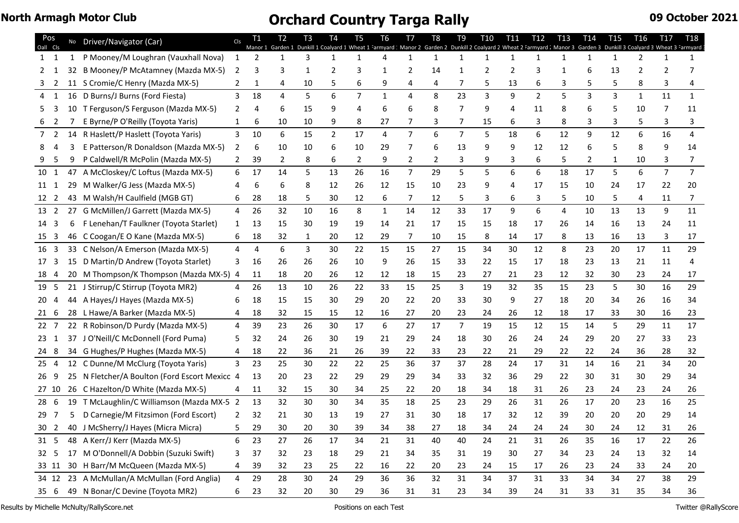| Pos<br>Cls      |    | No Driver/Navigator (Car)                     | Cls          |    | Т2<br>Garden 1 | T3 | <b>T4</b><br>Dunkill 1 Coalyard 1 Wheat 1 Farmyard 1 Manor 2 | T <sub>5</sub> | T6           | T7             | T8<br>Garden 2 | T9             | T <sub>10</sub><br>Dunkill 2 Coalyard 2 Wheat 2 Farmyard : Manor 3 Garden 3 | T11 | T <sub>12</sub> | <b>T13</b> | T14            | T <sub>15</sub> | T16          | T <sub>17</sub><br>Dunkill 3 Coalyard 3 Wheat 3 Farmyard | T18            |
|-----------------|----|-----------------------------------------------|--------------|----|----------------|----|--------------------------------------------------------------|----------------|--------------|----------------|----------------|----------------|-----------------------------------------------------------------------------|-----|-----------------|------------|----------------|-----------------|--------------|----------------------------------------------------------|----------------|
| 1 1             | 1  | P Mooney/M Loughran (Vauxhall Nova)           | $\mathbf{1}$ | 2  |                | 3  | 1                                                            | 1              | 4            | 1              | 1              | 1              | 1                                                                           |     | 1               | 1          |                | 1               | 2            | 1                                                        |                |
|                 | 32 | B Mooney/P McAtamney (Mazda MX-5)             | 2            | 3  |                | 1  | 2                                                            | 3              | -1           | 2              | 14             | -1             | 2                                                                           | 2   | 3               |            |                | 13              |              |                                                          |                |
| 2               |    | 11 S Cromie/C Henry (Mazda MX-5)              | $\mathbf{2}$ | 1  | 4              | 10 |                                                              | 6              | 9            | 4              | 4              | 7              | 5                                                                           | 13  | 6               | 3          |                |                 | 8            |                                                          |                |
| 1<br>4          | 16 | D Burns/J Burns (Ford Fiesta)                 | 3            | 18 | 4              | 5  | 6                                                            | $\overline{7}$ | $\mathbf{1}$ | 4              | 8              | 23             | 3                                                                           | 9   | $\overline{2}$  | 5          | $\overline{3}$ | $\overline{3}$  | $\mathbf{1}$ | 11                                                       | $\mathbf{1}$   |
| 5.              |    | 10 T Ferguson/S Ferguson (Mazda MX-5)         | 2            | 4  | 6              | 15 | g                                                            | 4              | 6            | 6              | 8              | 7              | 9                                                                           | 4   | 11              | 8          |                | 5               | 10           | 7                                                        | 11             |
| 2<br>6          |    | E Byrne/P O'Reilly (Toyota Yaris)             | 1            | 6  | 10             | 10 | 9                                                            | 8              | 27           | 7              |                | 7              | 15                                                                          | 6   | 3               | 8          | 3              | 3               | 5            | 3                                                        | 3              |
| 7 <sup>2</sup>  | 14 | R Haslett/P Haslett (Toyota Yaris)            | 3            | 10 | 6              | 15 | $\overline{2}$                                               | 17             | 4            | $\overline{7}$ | 6              | $\overline{7}$ | 5                                                                           | 18  | 6               | 12         | 9              | 12              | 6            | 16                                                       | $\overline{4}$ |
| 8               |    | E Patterson/R Donaldson (Mazda MX-5)          | 2            | 6  | 10             | 10 | 6                                                            | 10             | 29           | 7              | 6              | 13             | 9                                                                           | 9   | 12              | 12         | 6              |                 | 8            |                                                          | 14             |
| .5              | 9  | P Caldwell/R McPolin (Mazda MX-5)             |              | 39 | 2              | 8  | 6                                                            | 2              | 9            | 2              | 2              | 3              | 9                                                                           | 3   | 6               | 5          | 2              | 1               | 10           | 3                                                        |                |
| 10 1            |    | 47 A McCloskey/C Loftus (Mazda MX-5)          | 6            | 17 | 14             | 5  | 13                                                           | 26             | 16           | $\overline{7}$ | 29             | 5              | 5                                                                           | 6   | 6               | 18         | 17             | 5               | 6            | $\overline{7}$                                           | $\overline{7}$ |
| 11 1            | 29 | M Walker/G Jess (Mazda MX-5)                  |              | 6  | 6              | 8  | 12                                                           | 26             | 12           | 15             | 10             | 23             | 9                                                                           |     | 17              | 15         | 10             | 24              | 17           | 22                                                       | 20             |
| 12 2            | 43 | M Walsh/H Caulfield (MGB GT)                  |              | 28 | 18             | 5  | 30                                                           | 12             | 6            | 7              | 12             | 5              | 3                                                                           |     | 3               | 5          | 10             | 5               | 4            | 11                                                       |                |
| 13 2            |    | 27 G McMillen/J Garrett (Mazda MX-5)          | 4            | 26 | 32             | 10 | 16                                                           | 8              | $\mathbf{1}$ | 14             | 12             | 33             | 17                                                                          | 9   | 6               | 4          | 10             | 13              | 13           | 9                                                        | 11             |
| 14 3            | 6  | F Lenehan/T Faulkner (Toyota Starlet)         | 1            | 13 | 15             | 30 | 19                                                           | 19             | 14           | 21             | 17             | 15             | 15                                                                          | 18  | 17              | 26         | 14             | 16              | 13           | 24                                                       | 11             |
| 15 3            |    | 46 C Coogan/E O Kane (Mazda MX-5)             | 6            | 18 | 32             | 1  | 20                                                           | 12             | 29           | 7              | 10             | 15             | 8                                                                           | 14  | 17              | 8          | 13             | 16              | 13           | 3                                                        | 17             |
| 16 <sub>3</sub> |    | 33 C Nelson/A Emerson (Mazda MX-5)            | 4            | 4  | 6              | 3  | 30                                                           | 22             | 15           | 15             | 27             | 15             | 34                                                                          | 30  | 12              | 8          | 23             | 20              | 17           | 11                                                       | 29             |
| 17 3            |    | 15 D Martin/D Andrew (Toyota Starlet)         | 3            | 16 | 26             | 26 | 26                                                           | 10             | 9            | 26             | 15             | 33             | 22                                                                          | 15  | 17              | 18         | 23             | 13              | 21           | 11                                                       |                |
| 184             | 20 | M Thompson/K Thompson (Mazda MX-5) 4          |              | 11 | 18             | 20 | 26                                                           | 12             | 12           | 18             | 15             | 23             | 27                                                                          | 21  | 23              | 12         | 32             | 30              | 23           | 24                                                       | 17             |
| 19 5            |    | 21 J Stirrup/C Stirrup (Toyota MR2)           | 4            | 26 | 13             | 10 | 26                                                           | 22             | 33           | 15             | 25             | 3              | 19                                                                          | 32  | 35              | 15         | 23             | 5               | 30           | 16                                                       | 29             |
| 20<br>4         | 44 | A Hayes/J Hayes (Mazda MX-5)                  |              | 18 | 15             | 15 | 30                                                           | 29             | 20           | 22             | 20             | 33             | 30                                                                          | 9   | 27              | 18         | 20             | 34              | 26           | 16                                                       | 34             |
| 21 6            |    | 28 L Hawe/A Barker (Mazda MX-5)               |              | 18 | 32             | 15 | 15                                                           | 12             | 16           | 27             | 20             | 23             | 24                                                                          | 26  | 12              | 18         | 17             | 33              | 30           | 16                                                       | 23             |
| 22 7            |    | 22 R Robinson/D Purdy (Mazda MX-5)            | 4            | 39 | 23             | 26 | 30                                                           | 17             | 6            | 27             | 17             | 7              | 19                                                                          | 15  | 12              | 15         | 14             | 5               | 29           | 11                                                       | 17             |
| 23 1            |    | 37 J O'Neill/C McDonnell (Ford Puma)          | 5            | 32 | 24             | 26 | 30                                                           | 19             | 21           | 29             | 24             | 18             | 30                                                                          | 26  | 24              | 24         | 29             | 20              | 27           | 33                                                       | 23             |
| 24 8            |    | 34 G Hughes/P Hughes (Mazda MX-5)             | 4            | 18 | 22             | 36 | 21                                                           | 26             | 39           | 22             | 33             | 23             | 22                                                                          | 21  | 29              | 22         | 22             | 24              | 36           | 28                                                       | 32             |
| 25 4            |    | 12 C Dunne/M McClurg (Toyota Yaris)           | 3            | 23 | 25             | 30 | 22                                                           | 22             | 25           | 36             | 37             | 37             | 28                                                                          | 24  | 17              | 31         | 14             | 16              | 21           | 34                                                       | 20             |
| 26 9            |    | 25 N Fletcher/A Boulton (Ford Escort Mexico 4 |              | 13 | 20             | 23 | 22                                                           | 29             | 29           | 29             | 34             | 33             | 32                                                                          | 36  | 29              | 22         | 30             | 31              | 30           | 29                                                       | 34             |
| 27 10           |    | 26 C Hazelton/D White (Mazda MX-5)            | 4            | 11 | 32             | 15 | 30                                                           | 34             | 25           | 22             | 20             | 18             | 34                                                                          | 18  | 31              | 26         | 23             | 24              | 23           | 24                                                       | 26             |
| 28 6            |    | 19 T McLaughlin/C Williamson (Mazda MX-5 2    |              | 13 | 32             | 30 | 30                                                           | 34             | 35           | 18             | 25             | 23             | 29                                                                          | 26  | 31              | 26         | 17             | 20              | 23           | 16                                                       | 25             |
| 29.             | 5  | D Carnegie/M Fitzsimon (Ford Escort)          |              | 32 | 21             | 30 | 13                                                           | 19             | 27           | 31             | 30             | 18             | 17                                                                          | 32  | 12              | 39         | 20             | 20              | 20           | 29                                                       | 14             |
|                 |    | 30 2 40 J McSherry/J Hayes (Micra Micra)      |              | 29 | 30             | 20 | 30                                                           | 39             | 34           | 38             | 27             | 18             | 34                                                                          | 24  | 24              | 24         | 30             | 24              | 12           | 31                                                       | 26             |
| 31 5            |    | 48 A Kerr/J Kerr (Mazda MX-5)                 | 6            | 23 | 27             | 26 | 17                                                           | 34             | 21           | 31             | 40             | 40             | 24                                                                          | 21  | 31              | 26         | 35             | 16              | 17           | 22                                                       | 26             |
| 32 <sub>5</sub> | 17 | M O'Donnell/A Dobbin (Suzuki Swift)           | 3            | 37 | 32             | 23 | 18                                                           | 29             | 21           | 34             | 35             | 31             | 19                                                                          | 30  | 27              | 34         | 23             | 24              | 13           | 32                                                       | 14             |
| 33 11           |    | 30 H Barr/M McQueen (Mazda MX-5)              | 4            | 39 | 32             | 23 | 25                                                           | 22             | 16           | 22             | 20             | 23             | 24                                                                          | 15  | 17              | 26         | 23             | 24              | 33           | 24                                                       | 20             |
|                 |    | 34 12 23 A McMullan/A McMullan (Ford Anglia)  | 4            | 29 | 28             | 30 | 24                                                           | 29             | 36           | 36             | 32             | 31             | 34                                                                          | 37  | 31              | 33         | 34             | 34              | 27           | 38                                                       | 29             |
| 35 6            |    | 49 N Bonar/C Devine (Toyota MR2)              | 6            | 23 | 32             | 20 | 30                                                           | 29             | 36           | 31             | 31             | 23             | 34                                                                          | 39  | 24              | 31         | 33             | 31              | 35           | 34                                                       | 36             |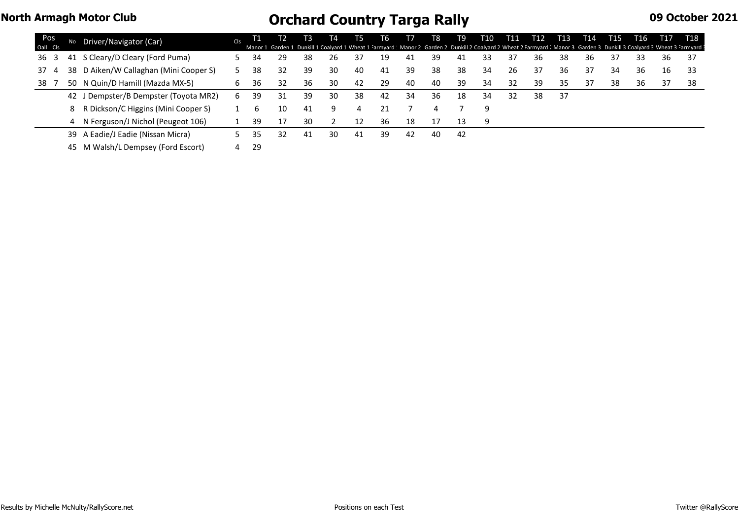| Pos<br>Oall Cls |    | Driver/Navigator (Car)                | Cls |     | Manor 1 Garden 1 Dunkill 1 Coalyard 1 Wheat 1 Farmyard 1 Manor 2 Garden 2 Dunkill 2 Coalyard 2 Wheat 2 Farmyard 1 Manor 3 Garden 3 Dunkill 3 Coalyard 3 Wheat 3 Farmyard 1 | ТЗ | T4 | 15 | l b |     | Т8 | Т9  | T10 | T11 | T12 | T13 | T14 | T15 | T16 | T17 | T18 |
|-----------------|----|---------------------------------------|-----|-----|----------------------------------------------------------------------------------------------------------------------------------------------------------------------------|----|----|----|-----|-----|----|-----|-----|-----|-----|-----|-----|-----|-----|-----|-----|
| 36 3            |    | 41 S Cleary/D Cleary (Ford Puma)      |     | 34  | 29                                                                                                                                                                         | 38 | 26 |    | 19  | -41 | 39 | 41  | 33  |     | 36  | 38  | 36  | 37  | 33  | 36  | 37  |
| 37 4            | 38 | D Aiken/W Callaghan (Mini Cooper S)   |     | 38  | 32                                                                                                                                                                         | 39 | 30 | 40 | 41  | 39  | 38 | 38  | 34  | 26  | 37  | 36  | 37  | 34  | 36  | 16  | -33 |
| 38              | 50 | N Quin/D Hamill (Mazda MX-5)          | b   | 36  | 32                                                                                                                                                                         | 36 | 30 | 42 | -29 | 40  | 40 | 39  | 34  | 32  | 39  | 35  | 37  | 38  | 36  | 37  | 38  |
|                 |    | 42 J Dempster/B Dempster (Toyota MR2) | 6   | 39  | 31                                                                                                                                                                         | 39 | 30 | 38 | 42  | 34  | 36 | 18  | 34  | 32  | 38  | 37  |     |     |     |     |     |
|                 |    | R Dickson/C Higgins (Mini Cooper S)   |     | b   | 10                                                                                                                                                                         | 41 | 9  | 4  |     |     |    |     | 9   |     |     |     |     |     |     |     |     |
|                 |    | N Ferguson/J Nichol (Peugeot 106)     |     | -39 | 17                                                                                                                                                                         | 30 |    | 12 | 36  | 18  | 17 | 13  | q   |     |     |     |     |     |     |     |     |
|                 |    | 39 A Eadie/J Eadie (Nissan Micra)     |     | 35  | 32                                                                                                                                                                         | 41 | 30 | 41 | 39  | 42  | 40 | -42 |     |     |     |     |     |     |     |     |     |

M Walsh/L Dempsey (Ford Escort) 4 29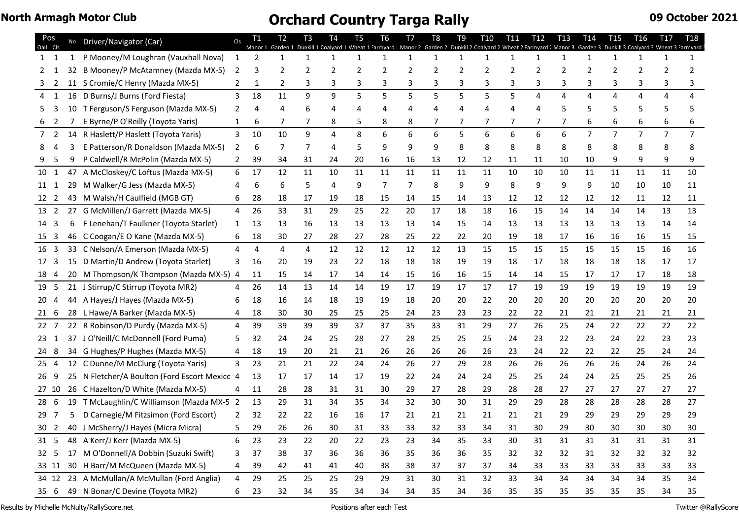| Pos<br>Cls<br>Oall  |    | No Driver/Navigator (Car)                     | Cls            |              | T2. | T <sub>3</sub> | T4<br>Dunkill 1 Coalyard 1 Wheat 1 Farmyard 1 Manor 2 | T <sub>5</sub> | T6           | T7 | T <sub>8</sub> | T <sub>9</sub> | T <sub>10</sub><br>Garden 2 Dunkill 2 Coalyard 2 Wheat 2 Farmyard . Manor 3 | T11          | T12 | T <sub>13</sub> | T <sub>14</sub><br>Garden 3 | T <sub>15</sub> | T <sub>16</sub><br>Dunkill 3 Coalyard 3 Wheat 3 | T <sub>17</sub> | <b>T18</b><br>armyard |
|---------------------|----|-----------------------------------------------|----------------|--------------|-----|----------------|-------------------------------------------------------|----------------|--------------|----|----------------|----------------|-----------------------------------------------------------------------------|--------------|-----|-----------------|-----------------------------|-----------------|-------------------------------------------------|-----------------|-----------------------|
| $1\quad 1$          | 1  | P Mooney/M Loughran (Vauxhall Nova)           | 1              | 2            |     | 1              | $\mathbf{1}$                                          | $\mathbf{1}$   | $\mathbf{1}$ | 1  | 1              | $\mathbf{1}$   | $\mathbf{1}$                                                                | $\mathbf{1}$ | 1   | 1               | 1                           | $\mathbf{1}$    | 1                                               | $\mathbf{1}$    | 1                     |
| 2                   |    | 32 B Mooney/P McAtamney (Mazda MX-5)          | 2              | 3            |     | 2              | 2                                                     |                | 2            | 2  |                | 2              | 2                                                                           | 2            |     | 2               |                             |                 |                                                 |                 |                       |
|                     |    | 11 S Cromie/C Henry (Mazda MX-5)              | $\mathbf{2}$   | $\mathbf{1}$ | 2   | 3              |                                                       | 3              |              | 3  | 3              |                | 3                                                                           | 3            |     | 3               | 3                           |                 |                                                 |                 |                       |
| $\overline{1}$<br>4 | 16 | D Burns/J Burns (Ford Fiesta)                 | 3              | 18           | 11  | 9              | 9                                                     | 5              | 5            | 5  | 5              | 5              | 5                                                                           | 5            | 4   | 4               | 4                           | 4               | 4                                               | 4               | 4                     |
| 3<br>5.             |    | 10 T Ferguson/S Ferguson (Mazda MX-5)         | 2              | 4            |     |                |                                                       |                |              |    |                |                | 4                                                                           |              |     |                 |                             |                 |                                                 |                 |                       |
| 2                   |    | E Byrne/P O'Reilly (Toyota Yaris)             | $\mathbf{1}$   | 6            | 7   | 7              | 8                                                     |                | 8            | 8  |                |                |                                                                             |              |     |                 |                             |                 |                                                 |                 |                       |
| 2<br>7              |    | 14 R Haslett/P Haslett (Toyota Yaris)         | 3              | 10           | 10  | 9              | 4                                                     | 8              | 6            | 6  | 6              | 5              | 6                                                                           | 6            | 6   | 6               | $\overline{7}$              | 7               | 7                                               | $\overline{7}$  | $\overline{7}$        |
|                     |    | E Patterson/R Donaldson (Mazda MX-5)          | 2              | 6            | 7   | 7              | 4                                                     |                | 9            | 9  |                | 8              | 8                                                                           | 8            | 8   | 8               | 8                           |                 |                                                 |                 |                       |
| 5                   | 9  | P Caldwell/R McPolin (Mazda MX-5)             |                | 39           | 34  | 31             | 24                                                    | 20             | 16           | 16 | 13             | 12             | 12                                                                          | 11           | 11  | 10              | 10                          |                 | 9                                               |                 |                       |
| 10 1                |    | 47 A McCloskey/C Loftus (Mazda MX-5)          | 6              | 17           | 12  | 11             | 10                                                    | 11             | 11           | 11 | 11             | 11             | 11                                                                          | 10           | 10  | 10              | 11                          | 11              | 11                                              | 11              | 10                    |
| 11 1                | 29 | M Walker/G Jess (Mazda MX-5)                  |                | 6            | 6   | 5              | 4                                                     | 9              | 7            | 7  | 8              | 9              | 9                                                                           | 8            | 9   | 9               | 9                           | 10              | 10                                              | 10              | 11                    |
| 12 2                |    | 43 M Walsh/H Caulfield (MGB GT)               | 6              | 28           | 18  | 17             | 19                                                    | 18             | 15           | 14 | 15             | 14             | 13                                                                          | 12           | 12  | 12              | 12                          | 12              | 11                                              | 12              | 11                    |
| 13 2                |    | 27 G McMillen/J Garrett (Mazda MX-5)          | 4              | 26           | 33  | 31             | 29                                                    | 25             | 22           | 20 | 17             | 18             | 18                                                                          | 16           | 15  | 14              | 14                          | 14              | 14                                              | 13              | 13                    |
| 14 3                | 6  | F Lenehan/T Faulkner (Toyota Starlet)         | 1              | 13           | 13  | 16             | 13                                                    | 13             | 13           | 13 | 14             | 15             | 14                                                                          | 13           | 13  | 13              | 13                          | 13              | 13                                              | 14              | 14                    |
| 15 <sub>3</sub>     |    | 46 C Coogan/E O Kane (Mazda MX-5)             | 6              | 18           | 30  | 27             | 28                                                    | 27             | 28           | 25 | 22             | 22             | 20                                                                          | 19           | 18  | 17              | 16                          | 16              | 16                                              | 15              | 15                    |
| 16 <sub>3</sub>     |    | 33 C Nelson/A Emerson (Mazda MX-5)            | 4              | 4            | 4   | 4              | 12                                                    | 12             | 12           | 12 | 12             | 13             | 15                                                                          | 15           | 15  | 15              | 15                          | 15              | 15                                              | 16              | 16                    |
| 17<br>3             |    | 15 D Martin/D Andrew (Toyota Starlet)         | 3              | 16           | 20  | 19             | 23                                                    | 22             | 18           | 18 | 18             | 19             | 19                                                                          | 18           | 17  | 18              | 18                          | 18              | 18                                              | 17              | 17                    |
| 184                 | 20 | M Thompson/K Thompson (Mazda MX-5) 4          |                | 11           | 15  | 14             | 17                                                    | 14             | 14           | 15 | 16             | 16             | 15                                                                          | 14           | 14  | 15              | 17                          | 17              | 17                                              | 18              | 18                    |
| 19 5                |    | 21 J Stirrup/C Stirrup (Toyota MR2)           |                | 26           | 14  | 13             | 14                                                    | 14             | 19           | 17 | 19             | 17             | 17                                                                          | 17           | 19  | 19              | 19                          | 19              | 19                                              | 19              | 19                    |
| 20<br>4             | 44 | A Hayes/J Hayes (Mazda MX-5)                  |                | 18           | 16  | 14             | 18                                                    | 19             | 19           | 18 | 20             | 20             | 22                                                                          | 20           | 20  | 20              | 20                          | 20              | 20                                              | 20              | 20                    |
| 21 6                |    | 28 L Hawe/A Barker (Mazda MX-5)               |                | 18           | 30  | 30             | 25                                                    | 25             | 25           | 24 | 23             | 23             | 23                                                                          | 22           | 22  | 21              | 21                          | 21              | 21                                              | 21              | 21                    |
| $22 \t 7$           |    | 22 R Robinson/D Purdy (Mazda MX-5)            | 4              | 39           | 39  | 39             | 39                                                    | 37             | 37           | 35 | 33             | 31             | 29                                                                          | 27           | 26  | 25              | 24                          | 22              | 22                                              | 22              | 22                    |
| 23 1                |    | 37 J O'Neill/C McDonnell (Ford Puma)          | 5              | 32           | 24  | 24             | 25                                                    | 28             | 27           | 28 | 25             | 25             | 25                                                                          | 24           | 23  | 22              | 23                          | 24              | 22                                              | 23              | 23                    |
| 24 8                |    | 34 G Hughes/P Hughes (Mazda MX-5)             | 4              | 18           | 19  | 20             | 21                                                    | 21             | 26           | 26 | 26             | 26             | 26                                                                          | 23           | 24  | 22              | 22                          | 22              | 25                                              | 24              | 24                    |
| 25 <sub>4</sub>     |    | 12 C Dunne/M McClurg (Toyota Yaris)           | 3              | 23           | 21  | 21             | 22                                                    | 24             | 24           | 26 | 27             | 29             | 28                                                                          | 26           | 26  | 26              | 26                          | 26              | 24                                              | 26              | 24                    |
| 269                 |    | 25 N Fletcher/A Boulton (Ford Escort Mexico 4 |                | -13          | 17  | 17             | 14                                                    | 17             | 19           | 22 | 24             | 24             | 24                                                                          | 25           | 25  | 24              | 24                          | 25              | 25                                              | 25              | 26                    |
| 27 10               |    | 26 C Hazelton/D White (Mazda MX-5)            | 4              | 11           | 28  | 28             | 31                                                    | 31             | 30           | 29 | 27             | 28             | 29                                                                          | 28           | 28  | 27              | 27                          | 27              | 27                                              | 27              | 27                    |
| 28 6                |    | 19 T McLaughlin/C Williamson (Mazda MX-5 2    |                | 13           | 29  | 31             | 34                                                    | 35             | 34           | 32 | 30             | 30             | 31                                                                          | 29           | 29  | 28              | 28                          | 28              | 28                                              | 28              | 27                    |
| 29 7                | 5. | D Carnegie/M Fitzsimon (Ford Escort)          | 2              | 32           | 22  | 22             | 16                                                    | 16             | 17           | 21 | 21             | 21             | 21                                                                          | 21           | 21  | 29              | 29                          | 29              | 29                                              | 29              | 29                    |
|                     |    | 30 2 40 J McSherry/J Hayes (Micra Micra)      | 5 <sub>1</sub> | 29           | 26  | 26             | 30                                                    | 31             | 33           | 33 | 32             | 33             | 34                                                                          | 31           | 30  | 29              | 30                          | 30              | 30                                              | 30              | 30                    |
| 31 5                |    | 48 A Kerr/J Kerr (Mazda MX-5)                 | 6              | 23           | 23  | 22             | 20                                                    | 22             | 23           | 23 | 34             | 35             | 33                                                                          | 30           | 31  | 31              | 31                          | 31              | 31                                              | 31              | 31                    |
| 32 5                |    | 17 M O'Donnell/A Dobbin (Suzuki Swift)        | 3              | 37           | 38  | 37             | 36                                                    | 36             | 36           | 35 | 36             | 36             | 35                                                                          | 32           | 32  | 32              | 31                          | 32              | 32                                              | 32              | 32                    |
| 33 11               |    | 30 H Barr/M McQueen (Mazda MX-5)              | 4              | 39           | 42  | 41             | 41                                                    | 40             | 38           | 38 | 37             | 37             | 37                                                                          | 34           | 33  | 33              | 33                          | 33              | 33                                              | 33              | 33                    |
|                     |    | 34 12 23 A McMullan/A McMullan (Ford Anglia)  | 4              | 29           | 25  | 25             | 25                                                    | 29             | 29           | 31 | 30             | 31             | 32                                                                          | 33           | 34  | 34              | 34                          | 34              | 34                                              | 35              | 34                    |
| 35 6                |    | 49 N Bonar/C Devine (Toyota MR2)              | 6              | 23           | 32  | 34             | 35                                                    | 34             | 34           | 34 | 35             | 34             | 36                                                                          | 35           | 35  | 35              | 35                          | 35              | 35                                              | 34              | 35                    |